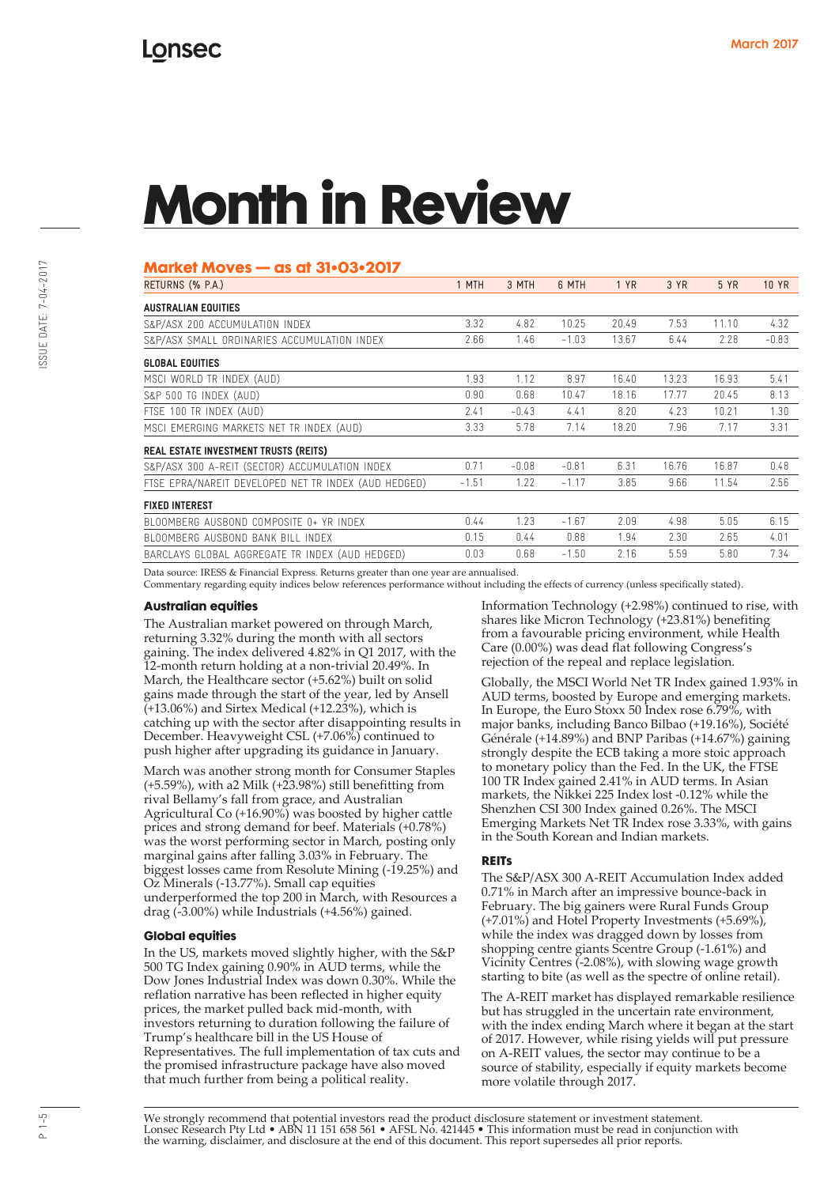#### **Market Moves — as at 31•03•2017**

| RETURNS (% P.A.)                                     | 1 MTH   | 3 MTH   | 6 MTH   | 1 YR  | 3 YR  | 5 YR  | <b>10 YR</b> |
|------------------------------------------------------|---------|---------|---------|-------|-------|-------|--------------|
| <b>AUSTRALIAN EQUITIES</b>                           |         |         |         |       |       |       |              |
| S&P/ASX 200 ACCUMULATION INDEX                       | 3.32    | 4.82    | 10.25   | 20.49 | 7.53  | 11.10 | 4.32         |
| S&P/ASX SMALL ORDINARIES ACCUMULATION INDEX          | 2.66    | 1.46    | $-1.03$ | 13.67 | 6.44  | 2.28  | $-0.83$      |
| <b>GLOBAL EQUITIES</b>                               |         |         |         |       |       |       |              |
| MSCI WORLD TR INDEX (AUD)                            | 1.93    | 1.12    | 8.97    | 16.40 | 13.23 | 16.93 | 5.41         |
| S&P 500 TG INDEX (AUD)                               | 0.90    | 0.68    | 10.47   | 18.16 | 17.77 | 20.45 | 8.13         |
| FTSE 100 TR INDEX (AUD)                              | 2.41    | $-0.43$ | 4.41    | 8.20  | 4.23  | 10.21 | 1.30         |
| MSCI EMERGING MARKETS NET TR INDEX (AUD)             | 3.33    | 5.78    | 7.14    | 18.20 | 7.96  | 7.17  | 3.31         |
| REAL ESTATE INVESTMENT TRUSTS (REITS)                |         |         |         |       |       |       |              |
| S&P/ASX 300 A-REIT (SECTOR) ACCUMULATION INDEX       | 0.71    | $-0.08$ | $-0.81$ | 6.31  | 16.76 | 16.87 | 0.48         |
| FTSE EPRA/NAREIT DEVELOPED NET TR INDEX (AUD HEDGED) | $-1.51$ | 1.22    | $-1.17$ | 3.85  | 9.66  | 11.54 | 2.56         |
| <b>FIXED INTEREST</b>                                |         |         |         |       |       |       |              |
| BLOOMBERG AUSBOND COMPOSITE 0+ YR INDEX              | 0.44    | 1.23    | $-1.67$ | 2.09  | 4.98  | 5.05  | 6.15         |
| BLOOMBERG AUSBOND BANK BILL INDEX                    | 0.15    | 0.44    | 0.88    | 1.94  | 2.30  | 2.65  | 4.01         |
| BARCLAYS GLOBAL AGGREGATE TR INDEX (AUD HEDGED)      | 0.03    | 0.68    | $-1.50$ | 2.16  | 5.59  | 5.80  | 7.34         |

Data source: IRESS & Financial Express. Returns greater than one year are annualised.

Commentary regarding equity indices below references performance without including the effects of currency (unless specifically stated).

#### **Australian equities**

The Australian market powered on through March, returning 3.32% during the month with all sectors gaining. The index delivered 4.82% in Q1 2017, with the 12-month return holding at a non-trivial 20.49%. In March, the Healthcare sector (+5.62%) built on solid gains made through the start of the year, led by Ansell  $(+13.06%)$  and Sirtex Medical  $(+12.23%)$ , which is catching up with the sector after disappointing results in December. Heavyweight CSL (+7.06%) continued to push higher after upgrading its guidance in January.

March was another strong month for Consumer Staples (+5.59%), with a2 Milk (+23.98%) still benefitting from rival Bellamy's fall from grace, and Australian Agricultural Co (+16.90%) was boosted by higher cattle prices and strong demand for beef. Materials (+0.78%) was the worst performing sector in March, posting only marginal gains after falling 3.03% in February. The biggest losses came from Resolute Mining (-19.25%) and Oz Minerals (-13.77%). Small cap equities underperformed the top 200 in March, with Resources a drag (-3.00%) while Industrials (+4.56%) gained.

#### **Global equities**

In the US, markets moved slightly higher, with the S&P 500 TG Index gaining 0.90% in AUD terms, while the Dow Jones Industrial Index was down 0.30%. While the reflation narrative has been reflected in higher equity prices, the market pulled back mid-month, with investors returning to duration following the failure of Trump's healthcare bill in the US House of Representatives. The full implementation of tax cuts and the promised infrastructure package have also moved that much further from being a political reality.

Information Technology (+2.98%) continued to rise, with shares like Micron Technology (+23.81%) benefiting from a favourable pricing environment, while Health Care (0.00%) was dead flat following Congress's rejection of the repeal and replace legislation.

Globally, the MSCI World Net TR Index gained 1.93% in AUD terms, boosted by Europe and emerging markets. In Europe, the Euro Stoxx 50 Index rose 6.79%, with major banks, including Banco Bilbao (+19.16%), Société Générale (+14.89%) and BNP Paribas (+14.67%) gaining strongly despite the ECB taking a more stoic approach to monetary policy than the Fed. In the UK, the FTSE 100 TR Index gained 2.41% in AUD terms. In Asian markets, the Nikkei 225 Index lost -0.12% while the Shenzhen CSI 300 Index gained 0.26%. The MSCI Emerging Markets Net TR Index rose 3.33%, with gains in the South Korean and Indian markets.

#### **REITs**

The S&P/ASX 300 A-REIT Accumulation Index added 0.71% in March after an impressive bounce-back in February. The big gainers were Rural Funds Group (+7.01%) and Hotel Property Investments (+5.69%), while the index was dragged down by losses from shopping centre giants Scentre Group (-1.61%) and Vicinity Centres (-2.08%), with slowing wage growth starting to bite (as well as the spectre of online retail).

The A-REIT market has displayed remarkable resilience but has struggled in the uncertain rate environment, with the index ending March where it began at the start of 2017. However, while rising yields will put pressure on A-REIT values, the sector may continue to be a source of stability, especially if equity markets become more volatile through 2017.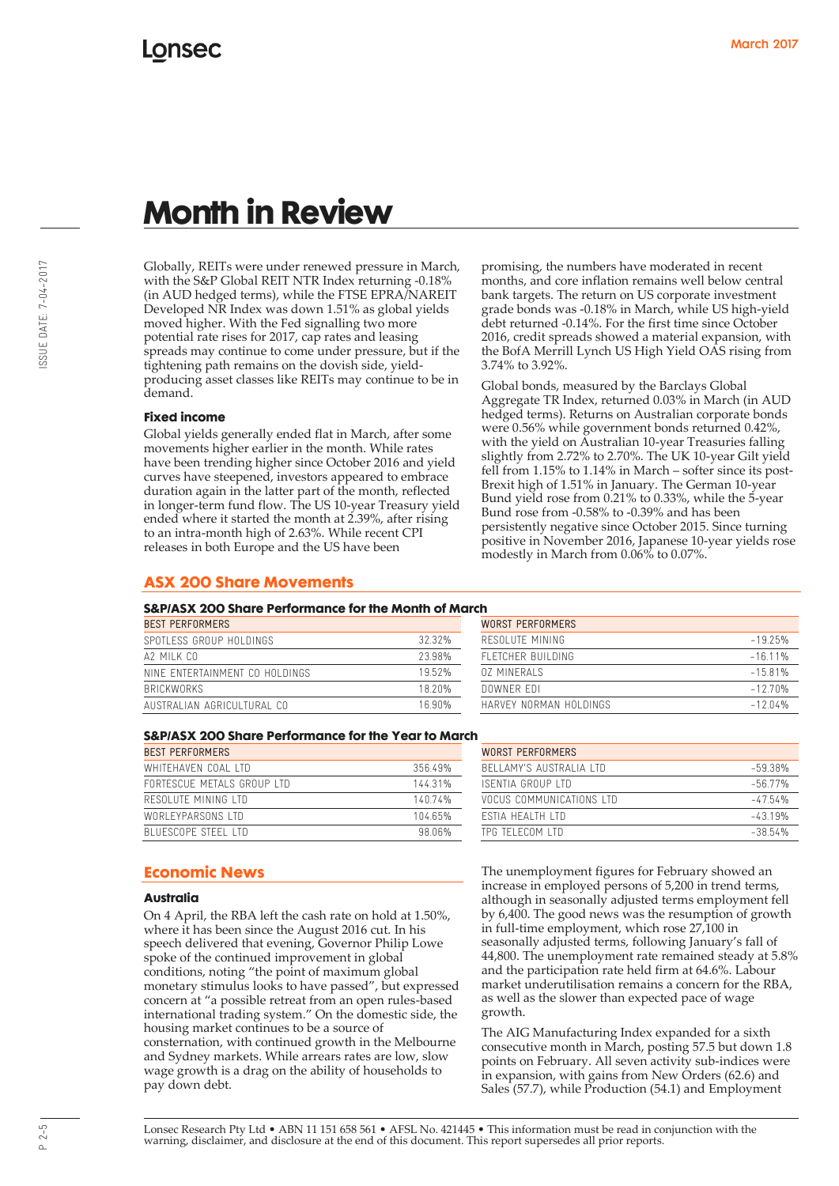Globally, REITs were under renewed pressure in March, with the S&P Global REIT NTR Index returning -0.18% (in AUD hedged terms), while the FTSE EPRA/NAREIT Developed NR Index was down 1.51% as global yields moved higher. With the Fed signalling two more potential rate rises for 2017, cap rates and leasing spreads may continue to come under pressure, but if the tightening path remains on the dovish side, yieldproducing asset classes like REITs may continue to be in demand.

#### **Fixed income**

Global yields generally ended flat in March, after some movements higher earlier in the month. While rates have been trending higher since October 2016 and yield curves have steepened, investors appeared to embrace duration again in the latter part of the month, reflected in longer-term fund flow. The US 10-year Treasury yield ended where it started the month at 2.39%, after rising to an intra-month high of 2.63%. While recent CPI releases in both Europe and the US have been

#### **ASX 200 Share Movements**

#### **S&P/ASX 200 Share Performance for the Month of March**

| <b>BEST PERFORMERS</b>         |        | WORST PERFORMERS       |           |  |
|--------------------------------|--------|------------------------|-----------|--|
| SPOTLESS GROUP HOLDINGS        | 32.32% | RESOLUTE MINING        | $-19.25%$ |  |
| A2 MII K CO                    | 23.98% | FLETCHER BUILDING      | $-16.11%$ |  |
| NINE ENTERTAINMENT CO HOLDINGS | 1952%  | 07 MINFRAIS            | $-15.81%$ |  |
| <b>BRICKWORKS</b>              | 18.20% | DOWNER EDI             | $-12.70%$ |  |
| AUSTRALIAN AGRICULTURAL CO     | 16.90% | HARVEY NORMAN HOLDINGS | $-12.04%$ |  |

| n                       |           |
|-------------------------|-----------|
| <b>WORST PERFORMERS</b> |           |
| RESOLUTE MINING         | $-1925%$  |
| FI FTCHER BUILDING      | $-16.11%$ |
| 07 MINFRAIS             | $-15.81%$ |
| DOWNER FDI              | $-12.70%$ |
| HARVEY NORMAN HOI DINGS | $-12.04%$ |

persistently negative since October 2015. Since turning positive in November 2016, Japanese 10-year yields rose

modestly in March from 0.06% to 0.07%.

promising, the numbers have moderated in recent months, and core inflation remains well below central bank targets. The return on US corporate investment grade bonds was -0.18% in March, while US high-yield debt returned -0.14%. For the first time since October 2016, credit spreads showed a material expansion, with the BofA Merrill Lynch US High Yield OAS rising from

Global bonds, measured by the Barclays Global Aggregate TR Index, returned 0.03% in March (in AUD hedged terms). Returns on Australian corporate bonds were 0.56% while government bonds returned 0.42%, with the yield on Australian 10-year Treasuries falling slightly from 2.72% to 2.70%. The UK 10-year Gilt yield fell from 1.15% to 1.14% in March – softer since its post-Brexit high of 1.51% in January. The German 10-year Bund yield rose from 0.21% to 0.33%, while the 5-year Bund rose from -0.58% to -0.39% and has been

3.74% to 3.92%.

#### **S&P/ASX 200 Share Performance for the Year to March**

| <b>BEST PERFORMERS</b>     |         | WORST PERFORMERS          |            |  |
|----------------------------|---------|---------------------------|------------|--|
| WHITFHAVEN COAL LTD        | 35649%  | BELLAMY'S AUSTRALIA LTD   | $-59.38\%$ |  |
| FORTESCUE METALS GROUP LTD | 144 31% | ISFNTIA GROUP I TD        | $-56.77\%$ |  |
| RESOLUTE MINING LTD        | 14074%  | VOCUS COMMUNICATIONS I TD | $-47.54\%$ |  |
| WORLEYPARSONS LTD          | 104.65% | <b>FSTIA HEALTH LTD</b>   | $-4.319%$  |  |
| BLUESCOPE STEEL LTD        | 98 06%  | TPG TELECOM LTD           | $-38.54%$  |  |

| WORST PFRFORMFRS          |           |
|---------------------------|-----------|
| BELLAMY'S AUSTRALIA LTD   | -5938%    |
| ISENTIA GROUP LTD         | $-5677%$  |
| VOCUS COMMUNICATIONS I TD | $-47.54%$ |
| <b>FSTIA HEALTH LTD</b>   | $-4.319%$ |
| TPG TELECOM LTD           | $-3854%$  |

#### **Economic News**

#### **Australia**

On 4 April, the RBA left the cash rate on hold at 1.50%, where it has been since the August 2016 cut. In his speech delivered that evening, Governor Philip Lowe spoke of the continued improvement in global conditions, noting "the point of maximum global monetary stimulus looks to have passed", but expressed concern at "a possible retreat from an open rules-based international trading system." On the domestic side, the housing market continues to be a source of consternation, with continued growth in the Melbourne and Sydney markets. While arrears rates are low, slow wage growth is a drag on the ability of households to pay down debt.

The unemployment figures for February showed an increase in employed persons of 5,200 in trend terms, although in seasonally adjusted terms employment fell by 6,400. The good news was the resumption of growth in full-time employment, which rose 27,100 in seasonally adjusted terms, following January's fall of 44,800. The unemployment rate remained steady at 5.8% and the participation rate held firm at 64.6%. Labour market underutilisation remains a concern for the RBA, as well as the slower than expected pace of wage growth.

The AIG Manufacturing Index expanded for a sixth consecutive month in March, posting 57.5 but down 1.8 points on February. All seven activity sub-indices were in expansion, with gains from New Orders (62.6) and Sales (57.7), while Production (54.1) and Employment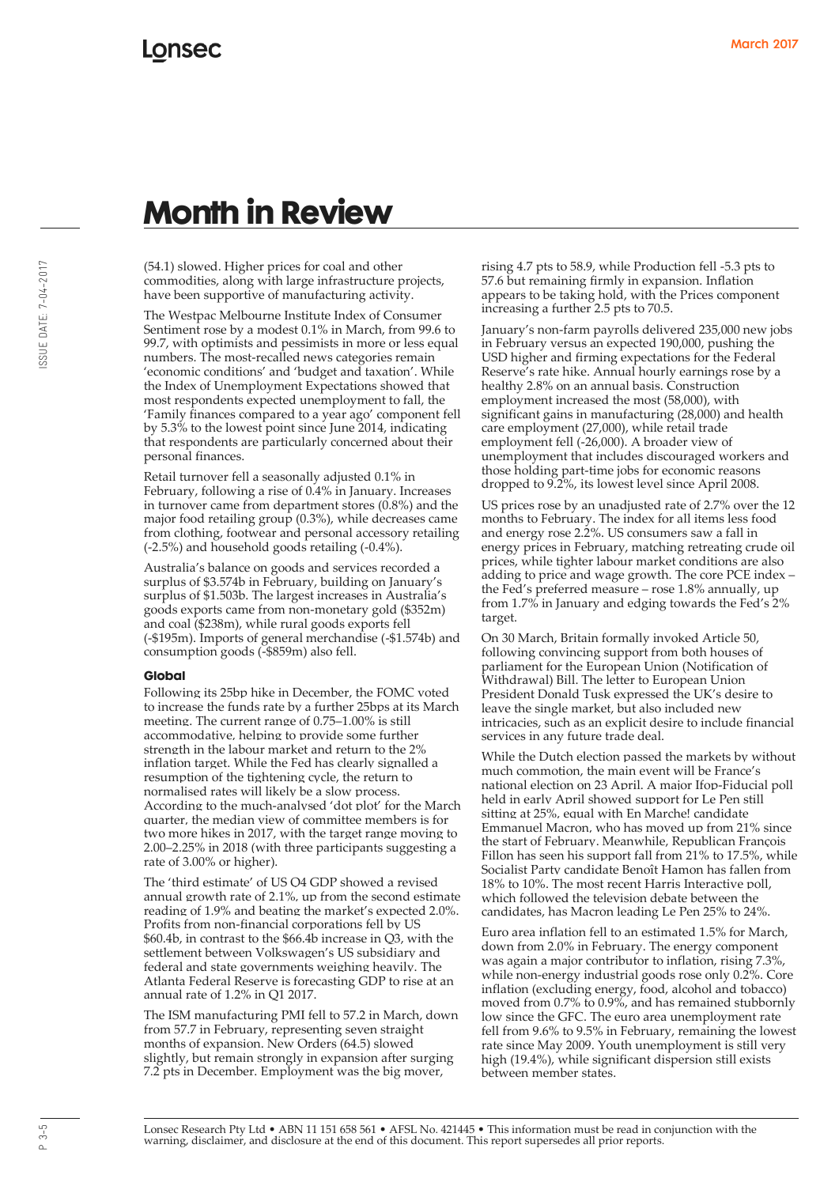(54.1) slowed. Higher prices for coal and other commodities, along with large infrastructure projects, have been supportive of manufacturing activity.

The Westpac Melbourne Institute Index of Consumer Sentiment rose by a modest 0.1% in March, from 99.6 to 99.7, with optimists and pessimists in more or less equal numbers. The most-recalled news categories remain 'economic conditions' and 'budget and taxation'. While the Index of Unemployment Expectations showed that most respondents expected unemployment to fall, the 'Family finances compared to a year ago' component fell by 5.3% to the lowest point since June 2014, indicating that respondents are particularly concerned about their personal finances.

Retail turnover fell a seasonally adjusted 0.1% in February, following a rise of 0.4% in January. Increases in turnover came from department stores (0.8%) and the major food retailing group (0.3%), while decreases came from clothing, footwear and personal accessory retailing (-2.5%) and household goods retailing (-0.4%).

Australia's balance on goods and services recorded a surplus of \$3.574b in February, building on January's surplus of \$1.503b. The largest increases in Australia's goods exports came from non-monetary gold (\$352m) and coal (\$238m), while rural goods exports fell (-\$195m). Imports of general merchandise (-\$1.574b) and consumption goods (-\$859m) also fell.

#### **Global**

Following its 25bp hike in December, the FOMC voted to increase the funds rate by a further 25bps at its March meeting. The current range of 0.75–1.00% is still accommodative, helping to provide some further strength in the labour market and return to the 2% inflation target. While the Fed has clearly signalled a resumption of the tightening cycle, the return to normalised rates will likely be a slow process. According to the much-analysed 'dot plot' for the March quarter, the median view of committee members is for two more hikes in 2017, with the target range moving to 2.00–2.25% in 2018 (with three participants suggesting a rate of 3.00% or higher).

The 'third estimate' of US Q4 GDP showed a revised annual growth rate of 2.1%, up from the second estimate reading of 1.9% and beating the market's expected 2.0%. Profits from non-financial corporations fell by US \$60.4b, in contrast to the \$66.4b increase in Q3, with the settlement between Volkswagen's US subsidiary and federal and state governments weighing heavily. The Atlanta Federal Reserve is forecasting GDP to rise at an annual rate of 1.2% in Q1 2017.

The ISM manufacturing PMI fell to 57.2 in March, down from 57.7 in February, representing seven straight months of expansion. New Orders (64.5) slowed slightly, but remain strongly in expansion after surging 7.2 pts in December. Employment was the big mover,

rising 4.7 pts to 58.9, while Production fell -5.3 pts to 57.6 but remaining firmly in expansion. Inflation appears to be taking hold, with the Prices component increasing a further 2.5 pts to 70.5.

January's non-farm payrolls delivered 235,000 new jobs in February versus an expected 190,000, pushing the USD higher and firming expectations for the Federal Reserve's rate hike. Annual hourly earnings rose by a healthy 2.8% on an annual basis. Construction employment increased the most (58,000), with significant gains in manufacturing (28,000) and health care employment (27,000), while retail trade employment fell (-26,000). A broader view of unemployment that includes discouraged workers and those holding part-time jobs for economic reasons dropped to 9.2%, its lowest level since April 2008.

US prices rose by an unadjusted rate of 2.7% over the 12 months to February. The index for all items less food and energy rose 2.2%. US consumers saw a fall in energy prices in February, matching retreating crude oil prices, while tighter labour market conditions are also adding to price and wage growth. The core PCE index – the Fed's preferred measure – rose 1.8% annually, up from 1.7% in January and edging towards the Fed's 2% target.

On 30 March, Britain formally invoked Article 50, following convincing support from both houses of parliament for the European Union (Notification of Withdrawal) Bill. The letter to European Union President Donald Tusk expressed the UK's desire to leave the single market, but also included new intricacies, such as an explicit desire to include financial services in any future trade deal.

While the Dutch election passed the markets by without much commotion, the main event will be France's national election on 23 April. A major Ifop-Fiducial poll held in early April showed support for Le Pen still sitting at 25%, equal with En Marche! candidate Emmanuel Macron, who has moved up from 21% since the start of February. Meanwhile, Republican François Fillon has seen his support fall from 21% to 17.5%, while Socialist Party candidate Benoît Hamon has fallen from 18% to 10%. The most recent Harris Interactive poll, which followed the television debate between the candidates, has Macron leading Le Pen 25% to 24%.

Euro area inflation fell to an estimated 1.5% for March, down from 2.0% in February. The energy component was again a major contributor to inflation, rising 7.3%, while non-energy industrial goods rose only 0.2%. Core inflation (excluding energy, food, alcohol and tobacco) moved from 0.7% to 0.9%, and has remained stubbornly low since the GFC. The euro area unemployment rate fell from 9.6% to 9.5% in February, remaining the lowest rate since May 2009. Youth unemployment is still very high (19.4%), while significant dispersion still exists between member states.

March 2017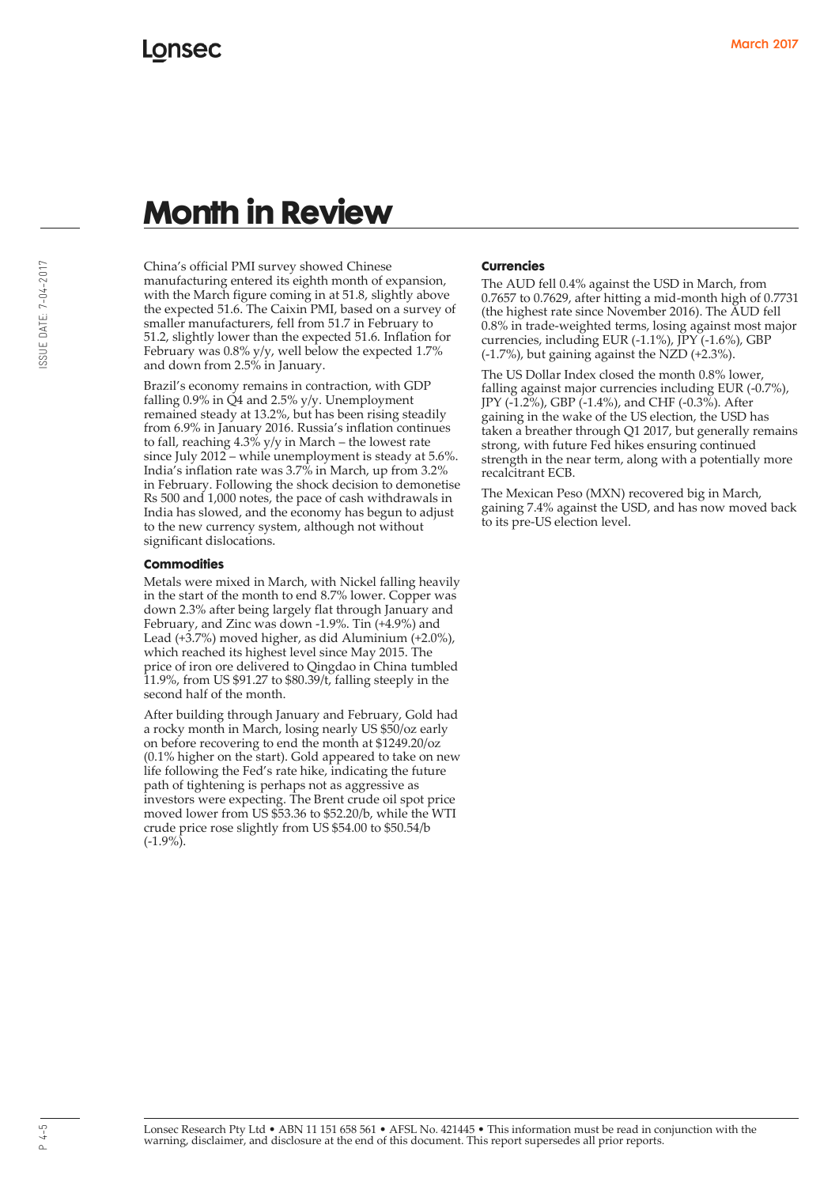China's official PMI survey showed Chinese manufacturing entered its eighth month of expansion, with the March figure coming in at 51.8, slightly above the expected 51.6. The Caixin PMI, based on a survey of smaller manufacturers, fell from 51.7 in February to 51.2, slightly lower than the expected 51.6. Inflation for February was 0.8% y/y, well below the expected 1.7% and down from 2.5% in January.

Brazil's economy remains in contraction, with GDP falling  $0.9\%$  in  $\check{Q}4$  and  $2.5\%$  y/y. Unemployment remained steady at 13.2%, but has been rising steadily from 6.9% in January 2016. Russia's inflation continues to fall, reaching 4.3% y/y in March – the lowest rate since July 2012 – while unemployment is steady at 5.6%. India's inflation rate was 3.7% in March, up from 3.2% in February. Following the shock decision to demonetise Rs 500 and 1,000 notes, the pace of cash withdrawals in India has slowed, and the economy has begun to adjust to the new currency system, although not without significant dislocations.

#### **Commodities**

Metals were mixed in March, with Nickel falling heavily in the start of the month to end 8.7% lower. Copper was down 2.3% after being largely flat through January and February, and Zinc was down -1.9%. Tin (+4.9%) and Lead (+3.7%) moved higher, as did Aluminium (+2.0%), which reached its highest level since May 2015. The price of iron ore delivered to Qingdao in China tumbled 11.9%, from US \$91.27 to \$80.39/t, falling steeply in the second half of the month.

After building through January and February, Gold had a rocky month in March, losing nearly US \$50/oz early on before recovering to end the month at \$1249.20/oz (0.1% higher on the start). Gold appeared to take on new life following the Fed's rate hike, indicating the future path of tightening is perhaps not as aggressive as investors were expecting. The Brent crude oil spot price moved lower from US \$53.36 to \$52.20/b, while the WTI crude price rose slightly from US \$54.00 to \$50.54/b  $(-1.9\%)$ .

#### **Currencies**

The AUD fell 0.4% against the USD in March, from 0.7657 to 0.7629, after hitting a mid-month high of 0.7731 (the highest rate since November 2016). The AUD fell 0.8% in trade-weighted terms, losing against most major currencies, including EUR (-1.1%), JPY (-1.6%), GBP (-1.7%), but gaining against the NZD (+2.3%).

The US Dollar Index closed the month 0.8% lower, falling against major currencies including EUR (-0.7%), JPY (-1.2%), GBP (-1.4%), and CHF (-0.3%). After gaining in the wake of the US election, the USD has taken a breather through Q1 2017, but generally remains strong, with future Fed hikes ensuring continued strength in the near term, along with a potentially more recalcitrant ECB.

The Mexican Peso (MXN) recovered big in March, gaining 7.4% against the USD, and has now moved back to its pre-US election level.